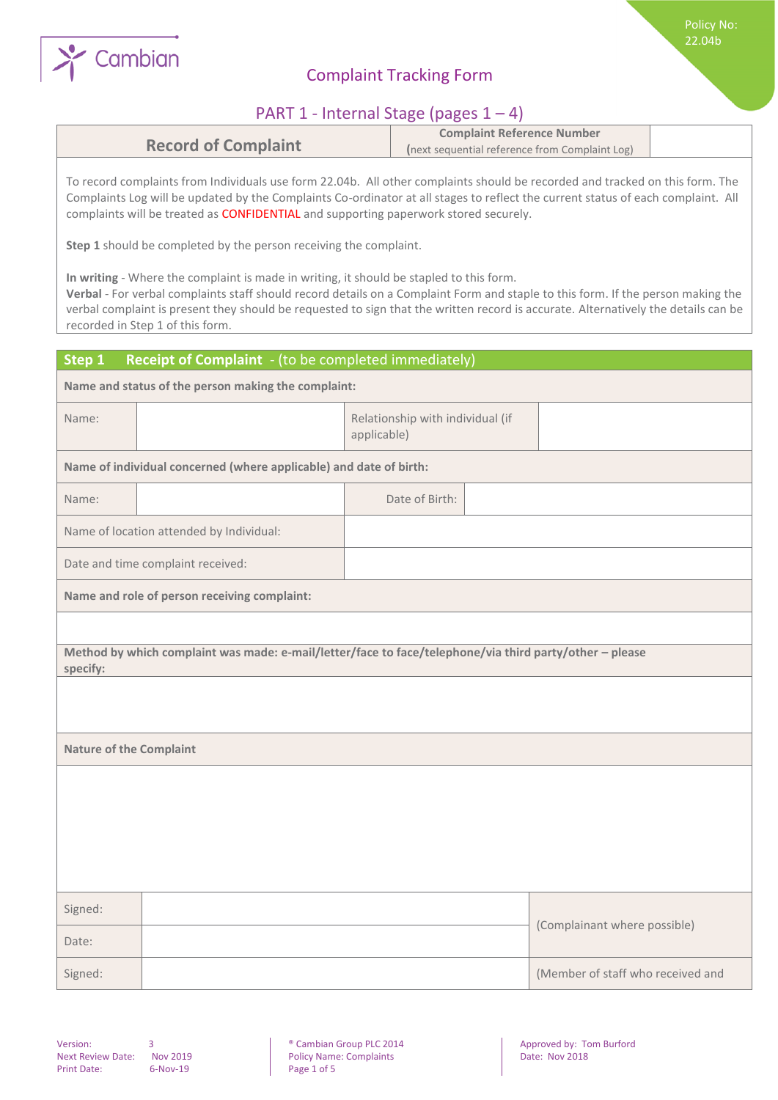

# Complaint Tracking Form

## PART 1 - Internal Stage (pages 1 – 4)

|                            | <b>Complaint Reference Number</b>              |  |
|----------------------------|------------------------------------------------|--|
| <b>Record of Complaint</b> | (next sequential reference from Complaint Log) |  |

To record complaints from Individuals use form 22.04b. All other complaints should be recorded and tracked on this form. The Complaints Log will be updated by the Complaints Co-ordinator at all stages to reflect the current status of each complaint. All complaints will be treated as CONFIDENTIAL and supporting paperwork stored securely.

**Step 1** should be completed by the person receiving the complaint.

**In writing** - Where the complaint is made in writing, it should be stapled to this form.

**Verbal** - For verbal complaints staff should record details on a Complaint Form and staple to this form. If the person making the verbal complaint is present they should be requested to sign that the written record is accurate. Alternatively the details can be recorded in Step 1 of this form.

| Step 1                                              | Receipt of Complaint - (to be completed immediately)                                                    |  |                                                 |  |                                   |
|-----------------------------------------------------|---------------------------------------------------------------------------------------------------------|--|-------------------------------------------------|--|-----------------------------------|
| Name and status of the person making the complaint: |                                                                                                         |  |                                                 |  |                                   |
| Name:                                               |                                                                                                         |  | Relationship with individual (if<br>applicable) |  |                                   |
|                                                     | Name of individual concerned (where applicable) and date of birth:                                      |  |                                                 |  |                                   |
| Name:                                               |                                                                                                         |  | Date of Birth:                                  |  |                                   |
|                                                     | Name of location attended by Individual:                                                                |  |                                                 |  |                                   |
|                                                     | Date and time complaint received:                                                                       |  |                                                 |  |                                   |
|                                                     | Name and role of person receiving complaint:                                                            |  |                                                 |  |                                   |
|                                                     |                                                                                                         |  |                                                 |  |                                   |
| specify:                                            | Method by which complaint was made: e-mail/letter/face to face/telephone/via third party/other - please |  |                                                 |  |                                   |
|                                                     |                                                                                                         |  |                                                 |  |                                   |
|                                                     |                                                                                                         |  |                                                 |  |                                   |
| <b>Nature of the Complaint</b>                      |                                                                                                         |  |                                                 |  |                                   |
|                                                     |                                                                                                         |  |                                                 |  |                                   |
|                                                     |                                                                                                         |  |                                                 |  |                                   |
|                                                     |                                                                                                         |  |                                                 |  |                                   |
|                                                     |                                                                                                         |  |                                                 |  |                                   |
| Signed:                                             |                                                                                                         |  |                                                 |  |                                   |
| Date:                                               |                                                                                                         |  |                                                 |  | (Complainant where possible)      |
| Signed:                                             |                                                                                                         |  |                                                 |  | (Member of staff who received and |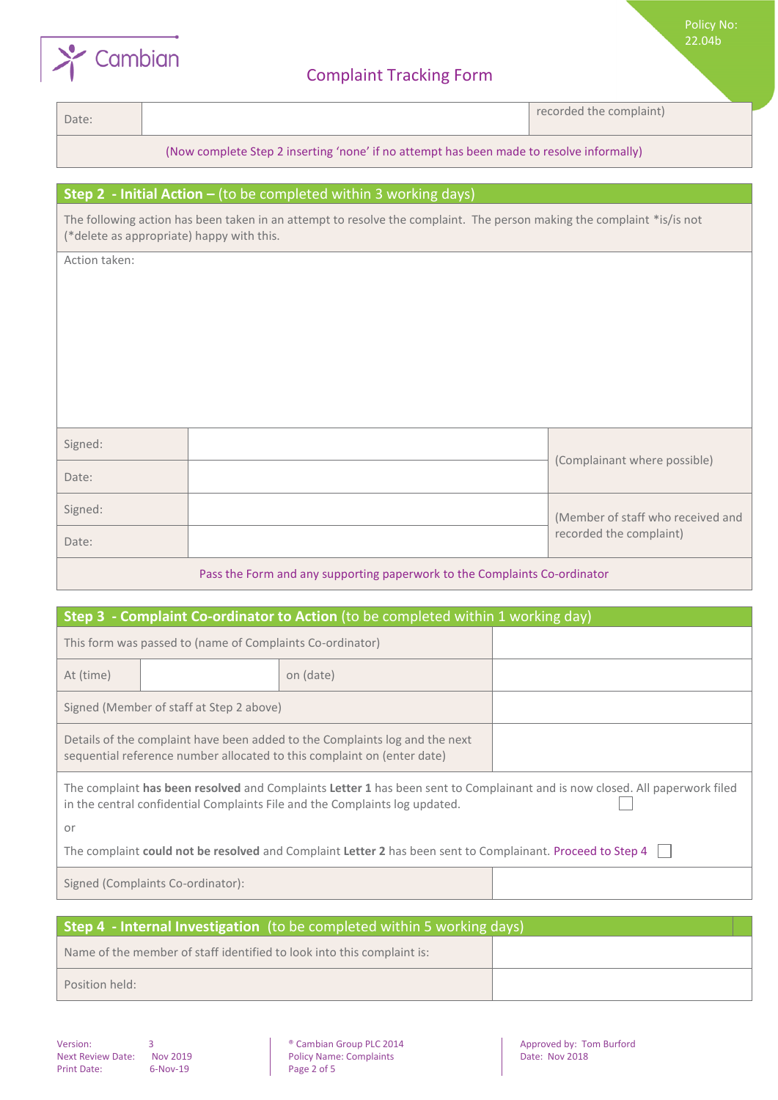

## Complaint Tracking Form

Policy No: 22.04b

Date: and the complaint) and the complaint of the complaint of the complaint of the complaint of the complaint

### (Now complete Step 2 inserting 'none' if no attempt has been made to resolve informally)

### **Step 2 - Initial Action –** (to be completed within 3 working days)

The following action has been taken in an attempt to resolve the complaint. The person making the complaint \*is/is not (\*delete as appropriate) happy with this.

Action taken:

| Signed: |                                   |  |
|---------|-----------------------------------|--|
| Date:   | (Complainant where possible)      |  |
| Signed: | (Member of staff who received and |  |
| Date:   | recorded the complaint)           |  |

#### Pass the Form and any supporting paperwork to the Complaints Co-ordinator

| Step 3 - Complaint Co-ordinator to Action (to be completed within 1 working day)                                                                                                                           |                                                           |                                                                                                            |  |  |
|------------------------------------------------------------------------------------------------------------------------------------------------------------------------------------------------------------|-----------------------------------------------------------|------------------------------------------------------------------------------------------------------------|--|--|
|                                                                                                                                                                                                            | This form was passed to (name of Complaints Co-ordinator) |                                                                                                            |  |  |
| At (time)                                                                                                                                                                                                  |                                                           | on (date)                                                                                                  |  |  |
| Signed (Member of staff at Step 2 above)                                                                                                                                                                   |                                                           |                                                                                                            |  |  |
| Details of the complaint have been added to the Complaints log and the next<br>sequential reference number allocated to this complaint on (enter date)                                                     |                                                           |                                                                                                            |  |  |
| The complaint has been resolved and Complaints Letter 1 has been sent to Complainant and is now closed. All paperwork filed<br>in the central confidential Complaints File and the Complaints log updated. |                                                           |                                                                                                            |  |  |
| or                                                                                                                                                                                                         |                                                           |                                                                                                            |  |  |
|                                                                                                                                                                                                            |                                                           | The complaint could not be resolved and Complaint Letter 2 has been sent to Complainant. Proceed to Step 4 |  |  |
|                                                                                                                                                                                                            | Signed (Complaints Co-ordinator):                         |                                                                                                            |  |  |

| <b>Step 4 - Internal Investigation</b> (to be completed within 5 working days) |  |
|--------------------------------------------------------------------------------|--|
| Name of the member of staff identified to look into this complaint is:         |  |
| Position held:                                                                 |  |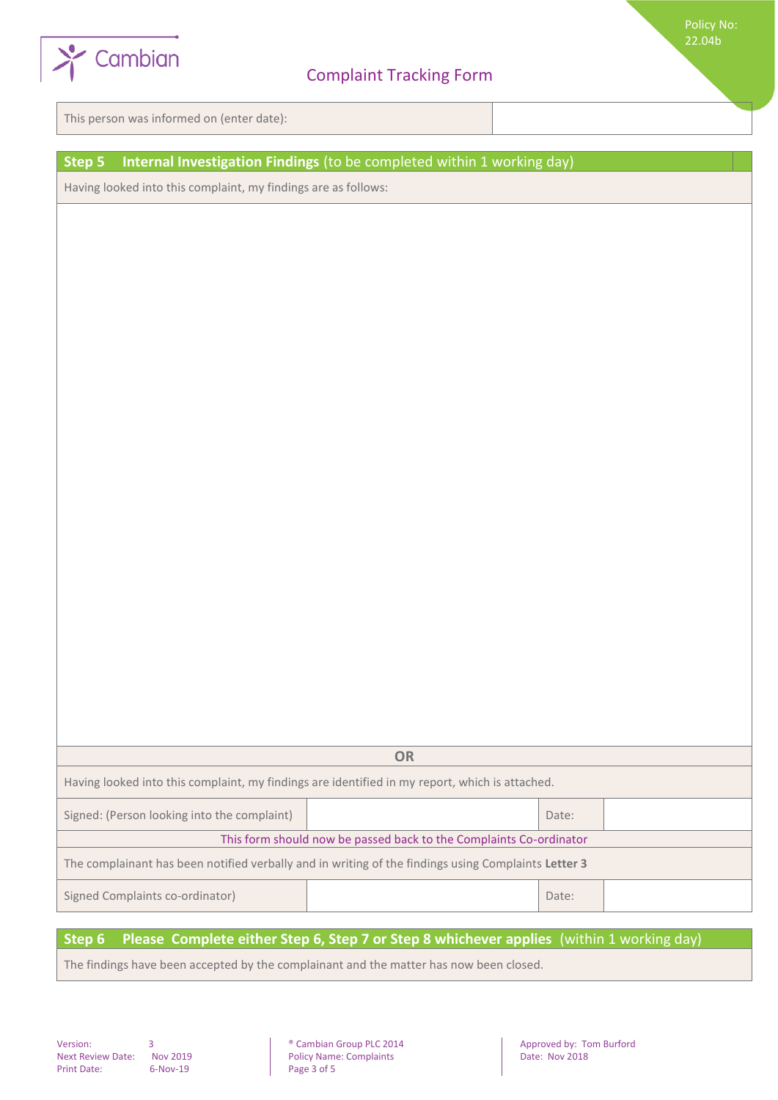

This person was informed on (enter date):

## **Step 5 Internal Investigation Findings** (to be completed within 1 working day)

Having looked into this complaint, my findings are as follows:

|                                                                                                      | <b>OR</b> |       |  |  |
|------------------------------------------------------------------------------------------------------|-----------|-------|--|--|
| Having looked into this complaint, my findings are identified in my report, which is attached.       |           |       |  |  |
| Signed: (Person looking into the complaint)                                                          |           | Date: |  |  |
| This form should now be passed back to the Complaints Co-ordinator                                   |           |       |  |  |
| The complainant has been notified verbally and in writing of the findings using Complaints Letter 3  |           |       |  |  |
| Signed Complaints co-ordinator)                                                                      |           | Date: |  |  |
| Chan C – Dinnen Compulsto sition Chan C, Chan 7 on Chan Q subisionion anglice (within 1 weeking dev) |           |       |  |  |

#### **Step 6 Please Complete either Step 6, Step 7 or Step 8 whichever applies** (within 1 working day)

The findings have been accepted by the complainant and the matter has now been closed.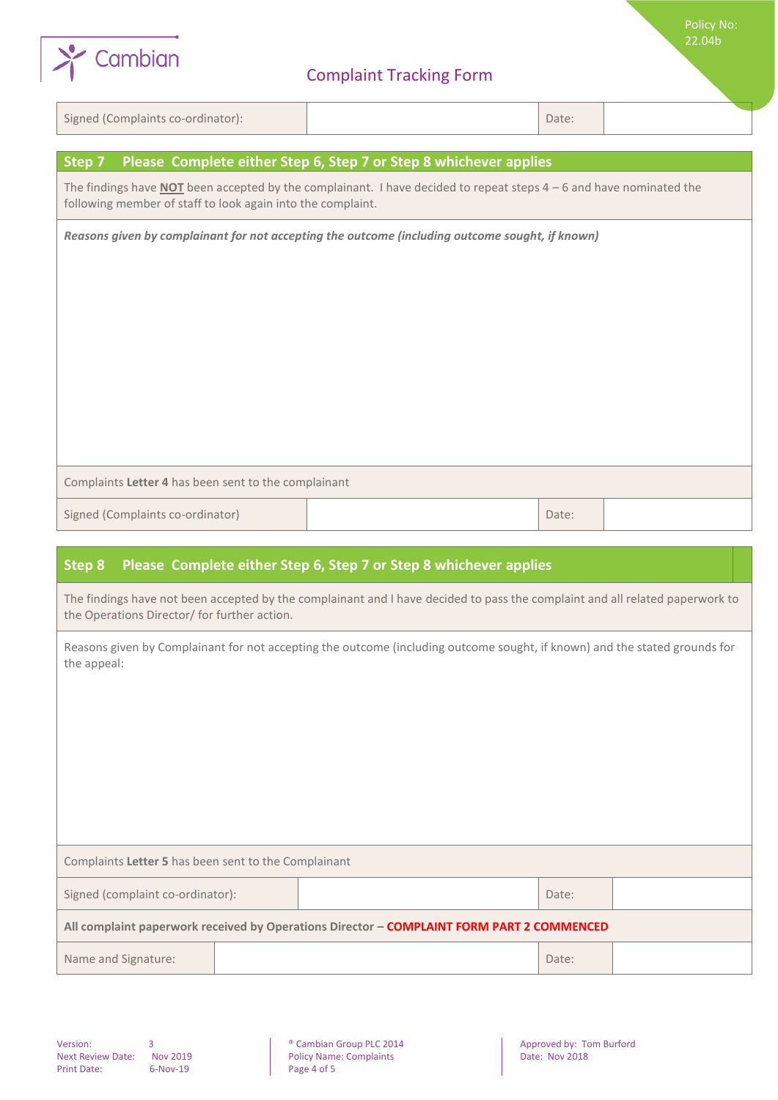

# Complaint Tracking Form

Signed (Complaints co-ordinator): Date: Date: Date: Date: Date: Date: Date: Date: Date: Date: Date: Date: Date: Date: Date: Date: Date: Date: Date: Date: Date: Date: Date: Date: Date: Date: Date: Date: Date: Date: Date: Da

Policy No: 22.04b

| Please Complete either Step 6, Step 7 or Step 8 whichever applies<br>Step 7                                                                                                                 |  |       |  |  |
|---------------------------------------------------------------------------------------------------------------------------------------------------------------------------------------------|--|-------|--|--|
| The findings have <b>NOT</b> been accepted by the complainant. I have decided to repeat steps $4 - 6$ and have nominated the<br>following member of staff to look again into the complaint. |  |       |  |  |
| Reasons given by complainant for not accepting the outcome (including outcome sought, if known)                                                                                             |  |       |  |  |
|                                                                                                                                                                                             |  |       |  |  |
|                                                                                                                                                                                             |  |       |  |  |
|                                                                                                                                                                                             |  |       |  |  |
|                                                                                                                                                                                             |  |       |  |  |
|                                                                                                                                                                                             |  |       |  |  |
|                                                                                                                                                                                             |  |       |  |  |
|                                                                                                                                                                                             |  |       |  |  |
| Complaints Letter 4 has been sent to the complainant                                                                                                                                        |  |       |  |  |
| Signed (Complaints co-ordinator)                                                                                                                                                            |  | Date: |  |  |
|                                                                                                                                                                                             |  |       |  |  |
| Please Complete either Step 6, Step 7 or Step 8 whichever applies<br>Step 8                                                                                                                 |  |       |  |  |
| The findings have not been accepted by the complainant and I have decided to pass the complaint and all related paperwork to<br>the Operations Director/ for further action.                |  |       |  |  |
| Reasons given by Complainant for not accepting the outcome (including outcome sought, if known) and the stated grounds for<br>the appeal:                                                   |  |       |  |  |

| Complaints Letter 5 has been sent to the Complainant                                      |  |       |       |  |
|-------------------------------------------------------------------------------------------|--|-------|-------|--|
| Signed (complaint co-ordinator):                                                          |  | Date: |       |  |
| All complaint paperwork received by Operations Director - COMPLAINT FORM PART 2 COMMENCED |  |       |       |  |
| Name and Signature:                                                                       |  |       | Date: |  |